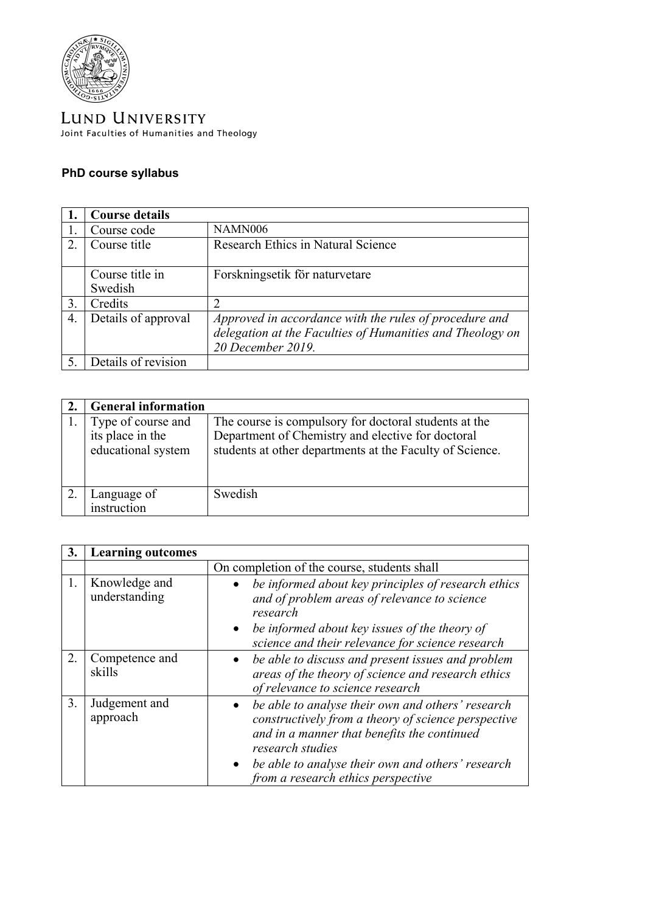

LUND UNIVERSITY Joint Faculties of Humanities and Theology

## **PhD course syllabus**

|                       | <b>Course details</b> |                                                                                                                                          |
|-----------------------|-----------------------|------------------------------------------------------------------------------------------------------------------------------------------|
|                       | Course code           | <b>NAMN006</b>                                                                                                                           |
| $\mathcal{D}_{\cdot}$ | Course title          | <b>Research Ethics in Natural Science</b>                                                                                                |
|                       | Course title in       | Forskningsetik för naturvetare                                                                                                           |
|                       | Swedish               |                                                                                                                                          |
| 3.                    | Credits               |                                                                                                                                          |
| 4.                    | Details of approval   | Approved in accordance with the rules of procedure and<br>delegation at the Faculties of Humanities and Theology on<br>20 December 2019. |
|                       | Details of revision   |                                                                                                                                          |

| <b>General information</b>                                   |                                                                                                                                                                        |
|--------------------------------------------------------------|------------------------------------------------------------------------------------------------------------------------------------------------------------------------|
| Type of course and<br>its place in the<br>educational system | The course is compulsory for doctoral students at the<br>Department of Chemistry and elective for doctoral<br>students at other departments at the Faculty of Science. |
| Language of<br>instruction                                   | Swedish                                                                                                                                                                |

| 3. | <b>Learning outcomes</b>       |                                                                                                                                                                                                                                                                        |
|----|--------------------------------|------------------------------------------------------------------------------------------------------------------------------------------------------------------------------------------------------------------------------------------------------------------------|
|    |                                | On completion of the course, students shall                                                                                                                                                                                                                            |
| 1. | Knowledge and<br>understanding | be informed about key principles of research ethics<br>and of problem areas of relevance to science<br>research                                                                                                                                                        |
|    |                                | be informed about key issues of the theory of<br>science and their relevance for science research                                                                                                                                                                      |
| 2. | Competence and<br>skills       | be able to discuss and present issues and problem<br>areas of the theory of science and research ethics<br>of relevance to science research                                                                                                                            |
| 3. | Judgement and<br>approach      | be able to analyse their own and others' research<br>constructively from a theory of science perspective<br>and in a manner that benefits the continued<br>research studies<br>be able to analyse their own and others' research<br>from a research ethics perspective |